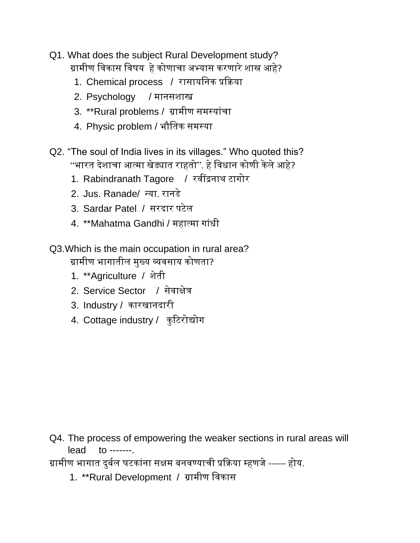- Q1. What does the subject Rural Development study? ग्रामीण विकास विषय हेकोणाचा अभ्यास करणारेशास्र आहे?
	- 1. Chemical process / रासायवनक प्रक्रिया
	- 2. Psychology / मानसशास्त्र
	- 3. \*\*Rural problems / ग्रामीण समस्यांचा
	- 4. Physic problem / भौवतक समसया
- Q2. "The soul of India lives in its villages." Who quoted this? "भारत देशाचा आत्मा खेड्यात राहतो". हे विधान कोणी केले आहे?
	- 1. Rabindranath Tagore / रवींद्रनाथ टागोर
	- 2. Jus. Ranade/ न्या. रानडे
	- 3. Sardar Patel / सरदार पटेल
	- 4. \*\*Mahatma Gandhi / महात्मा गाांधी
- Q3.Which is the main occupation in rural area?

ग्रामीण भागातील मुख्य व्यिसाय कोणता?

- 1. \*\*Agriculture / शेती
- 2. Service Sector / सेवाक्षेत्र
- 3. Industry / कारखानदारी
- 4. Cottage industry / कुटिरोद्योग

Q4. The process of empowering the weaker sections in rural areas will lead to -------.

ग्रामीण भागात दुर्बल घटकांना सक्षम बनवण्याची प्रक्रिया म्हणजे ------ होय.

1. \*\*Rural Development / ग्रामीण विकास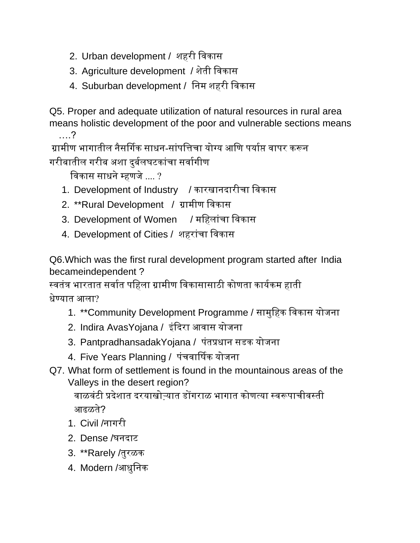- 2. Urban development / शहरी विकास
- 3. Agriculture development / शेती विकास
- 4. Suburban development / वनम शहरी विकास

Q5. Proper and adequate utilization of natural resources in rural area means holistic development of the poor and vulnerable sections means ….?

ग्रामीण भागातील नैसर्गिक साधन-सांपत्तिचा योग्य आणि पर्याप्त वापर करून गरीबातील गरीब अशा दर्बलघटकांचा सर्वागीण

विकास साधने म्हणजे .... ?

- 1. Development of Industry / कारखानदारीचा विकास
- 2. \*\*Rural Development / ग्रामीण विकास
- 3. Development of Women / महिलांचा विकास
- 4. Development of Cities / शहरांचा विकास

Q6.Which was the first rural development program started after India becameindependent ?

स्वतंत्र भारतात सर्वात पहिला ग्रामीण विकासासाठी कोणता कार्यकम हाती धेण्यात आला?

- 1. \*\*Community Development Programme / सामुवहक विकास योजना
- 2. Indira AvasYojana / इंदिरा आवास योजना
- 3. PantpradhansadakYojana / पंतप्रधान सडक योजना
- 4. Five Years Planning / पंचवार्षिक योजना
- Q7. What form of settlement is found in the mountainous areas of the Valleys in the desert region?

वाळवंटी प्रदेशात दरयाखोऱ्यात डोंगराळ भागात कोणत्या स्वरूपाचीवस्ती आढळते?

- 1. Civil /नागरी
- 2. Dense /घनदाट
- 3. \*\*Rarely /तुरळक
- 4. Modern /आधुवनक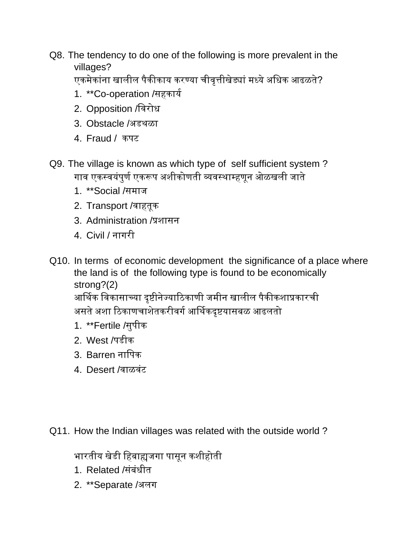Q8. The tendency to do one of the following is more prevalent in the villages?

एकमेकांना खालील पैकीकाय करण्या चीवृत्तीखेड्यां मध्ये अधिक आढळते?

- 1. \*\* Co-operation /सहकार्य
- 2. Opposition /विरोध
- 3. Obstacle /अडथळा
- 4. Fraud / कपट
- Q9. The village is known as which type of self sufficient system ? गाव एकस्वयंपुर्ण एकरूप अशीकोणती व्यवस्थाम्हणून ओळखली जाते
	- 1. \*\*Social /समाज
	- 2. Transport /िाहतूक
	- 3. Administration /प्रशासन
	- 4. Civil / नागरी
- Q10. In terms of economic development the significance of a place where the land is of the following type is found to be economically strong?(2)

आर्गथक विकासाच्या दृष्टीनेज्याटठकाणी जमीन खालील पैकीकशाप्रकारची असते अशा ठिकाणचाशेतकरीवर्ग आर्थिकदृष्टयासबळ आढलतो

- 1. \*\*Fertile /सुपीक
- 2. West /पडीक
- 3. Barren नावपक
- 4. Desert /वाळवंट

Q11. How the Indian villages was related with the outside world ?

भारतीय खेडी वहर्ाह्यजगा पासून कशीहोती

- 1. Related /संबंधीत
- 2. \*\*Separate /अलग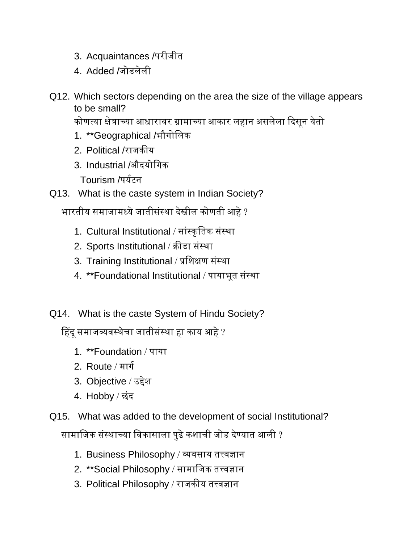- 3. Acquaintances /परीजीत
- 4. Added /जोडलेली
- Q12. Which sectors depending on the area the size of the village appears to be small?

कोणत्या क्षेत्राच्या आधारावर ग्रामाच्या आकार लहान असलेला दिसून येतो

- 1. \*\*Geographical /भौगोवलक
- 2. Political /राजकीय
- 3. Industrial /औदयोवगक

Tourism /पर्यटन

Q13. What is the caste system in Indian Society?

भारतीय समाजामध्ये जातीसंस्था देखील कोणती आहे ?

- 1. Cultural Institutional / सांस्कृतिक संस्था
- 2. Sports Institutional / क्रीडा संस्था
- 3. Training Institutional / प्रशिक्षण संस्था
- 4. \*\*Foundational Institutional / पायाभूत संस्था
- Q14. What is the caste System of Hindu Society?

हहदूसमाजव्यिसथेचा जातीसांसथा हा काय आहे?

- 1. \*\*Foundation / पाया
- 2. Route / मार्ग
- 3. Objective / उद्देश
- 4. Hobby / छांद
- Q15. What was added to the development of social Institutional?

सामावजक सांसथाच्या विकासाला पुढेकशाची जोड देण्यात आली ?

- 1. Business Philosophy / व्यवसाय तत्त्वज्ञान
- 2. \*\*Social Philosophy / सामाजिक तत्त्वज्ञान
- 3. Political Philosophy / राजकीय तत्त्वज्ञान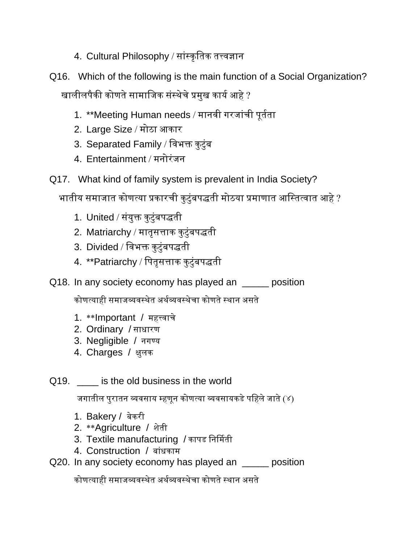- 4. Cultural Philosophy / सांस्कृतिक तत्त्वज्ञान
- Q16. Which of the following is the main function of a Social Organization? खालीलपैकी कोणते सामाजिक संस्थेचे प्रमुख कार्य आहे ?
	- 1. \*\*Meeting Human needs / मानवी गरजांची पूर्तता
	- 2. Large Size / मोठा आकार
	- 3. Separated Family / विभक्त कुटुंब
	- 4. Entertainment / मनोरांजन
- Q17. What kind of family system is prevalent in India Society?

भातीय समाजात कोणत्या प्रकारची कुटुंबपद्धती मोठया प्रमाणात आस्तित्वात आहे ?

- 1. United / संयुक्त कुटुंबपद्धती
- 2. Matriarchy / मातृसत्ताक कुटुंबपद्धती
- 3. Divided / विभक्त कुटुंबपद्धती
- 4. \*\*Patriarchy / पितृसत्ताक कुटुंबपद्धती
- Q18. In any society economy has played an <u>same</u> position

कोणत्याही समाजव्यिसथेत अथबव्यिसथेचा कोणतेसथान असते

- 1. \*\*Important / महत्त्वाचे
- 2. Ordinary / साधारण
- 3. Negligible / नगण्य
- 4. Charges / क्षुलक
- Q19. **Example 2018** is the old business in the world

जगातील पुरातन व्यवसाय म्हणून कोणत्या व्यवसायकडे पहिले जाते (४)

- 1. Bakery / बेकरी
- 2. \*\*Agriculture / शेती
- 3. Textile manufacturing / कापड निर्मिती
- 4. Construction / र्ाांधकाम
- Q20. In any society economy has played an \_\_\_\_\_ position

कोणत्याही समाजव्यिसथेत अथबव्यिसथेचा कोणतेसथान असते